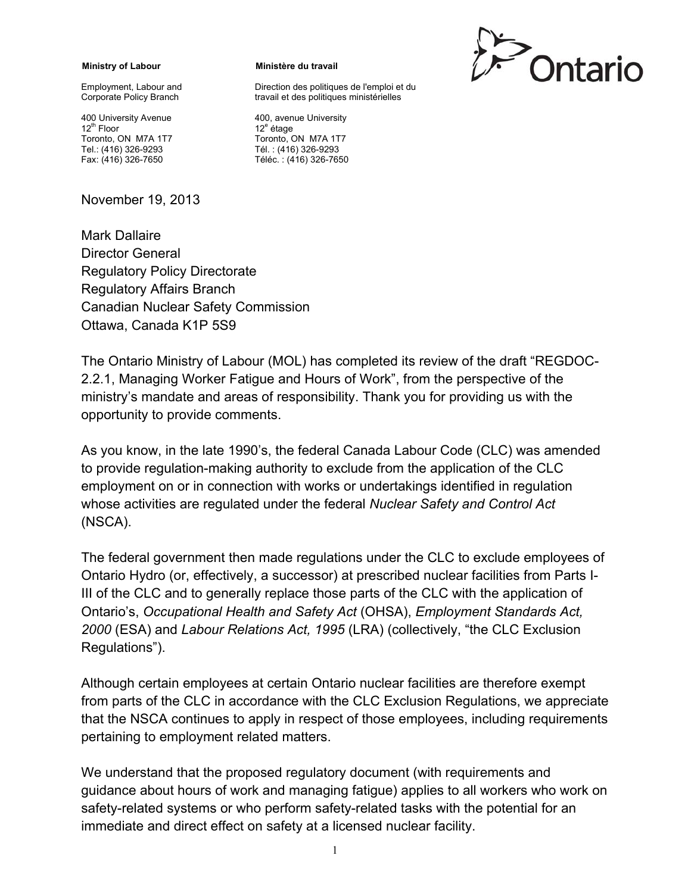**Ministry of Labour** 

Employment, Labour and Corporate Policy Branch

400 University Avenue 12th Floor Toronto, ON M7A 1T7 Tel.: (416) 326-9293 Fax: (416) 326-7650

November 19, 2013

## Mark Dallaire Director General Regulatory Policy Directorate Regulatory Affairs Branch Canadian Nuclear Safety Commission Ottawa, Canada K1P 5S9

## The Ontario Ministry of Labour (MOL) has completed its review of the draft "REGDOC-2.2.1, Managing Worker Fatigue and Hours of Work", from the perspective of the ministry's mandate and areas of responsibility. Thank you for providing us with the opportunity to provide comments.

**Ministère du travail** 

400, avenue University

Toronto, ON M7A 1T7 Tél. : (416) 326-9293 Téléc. : (416) 326-7650

12<sup>e</sup> étage

Direction des politiques de l'emploi et du travail et des politiques ministérielles

As you know, in the late 1990's, the federal Canada Labour Code (CLC) was amended to provide regulation-making authority to exclude from the application of the CLC employment on or in connection with works or undertakings identified in regulation whose activities are regulated under the federal *Nuclear Safety and Control Act*  (NSCA).

The federal government then made regulations under the CLC to exclude employees of Ontario Hydro (or, effectively, a successor) at prescribed nuclear facilities from Parts I-III of the CLC and to generally replace those parts of the CLC with the application of Ontario's, *Occupational Health and Safety Act* (OHSA), *Employment Standards Act, 2000* (ESA) and *Labour Relations Act, 1995* (LRA) (collectively, "the CLC Exclusion Regulations").

Although certain employees at certain Ontario nuclear facilities are therefore exempt from parts of the CLC in accordance with the CLC Exclusion Regulations, we appreciate that the NSCA continues to apply in respect of those employees, including requirements pertaining to employment related matters.

We understand that the proposed regulatory document (with requirements and guidance about hours of work and managing fatigue) applies to all workers who work on safety-related systems or who perform safety-related tasks with the potential for an immediate and direct effect on safety at a licensed nuclear facility.

Ontario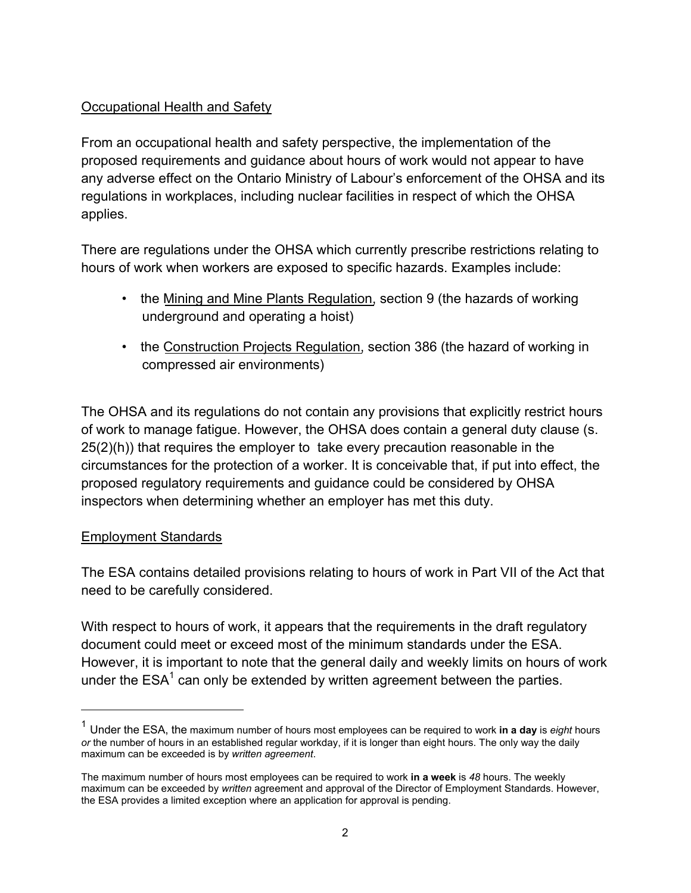## Occupational Health and Safety

From an occupational health and safety perspective, the implementation of the proposed requirements and guidance about hours of work would not appear to have any adverse effect on the Ontario Ministry of Labour's enforcement of the OHSA and its regulations in workplaces, including nuclear facilities in respect of which the OHSA applies.

There are regulations under the OHSA which currently prescribe restrictions relating to hours of work when workers are exposed to specific hazards. Examples include:

- the Mining and Mine Plants Regulation, section 9 (the hazards of working underground and operating a hoist)
- the Construction Projects Regulation, section 386 (the hazard of working in compressed air environments)

The OHSA and its regulations do not contain any provisions that explicitly restrict hours of work to manage fatigue. However, the OHSA does contain a general duty clause (s. 25(2)(h)) that requires the employer to take every precaution reasonable in the circumstances for the protection of a worker. It is conceivable that, if put into effect, the proposed regulatory requirements and guidance could be considered by OHSA inspectors when determining whether an employer has met this duty.

## Employment Standards

 $\overline{a}$ 

The ESA contains detailed provisions relating to hours of work in Part VII of the Act that need to be carefully considered.

With respect to hours of work, it appears that the requirements in the draft regulatory document could meet or exceed most of the minimum standards under the ESA. However, it is important to note that the general daily and weekly limits on hours of work under the  $\mathsf{ESA}^1$  can only be extended by written agreement between the parties.

<sup>1</sup> Under the ESA, the maximum number of hours most employees can be required to work **in a day** is *eight* hours *or* the number of hours in an established regular workday, if it is longer than eight hours. The only way the daily maximum can be exceeded is by *written agreement*.

The maximum number of hours most employees can be required to work **in a week** is *48* hours. The weekly maximum can be exceeded by *written* agreement and approval of the Director of Employment Standards. However, the ESA provides a limited exception where an application for approval is pending.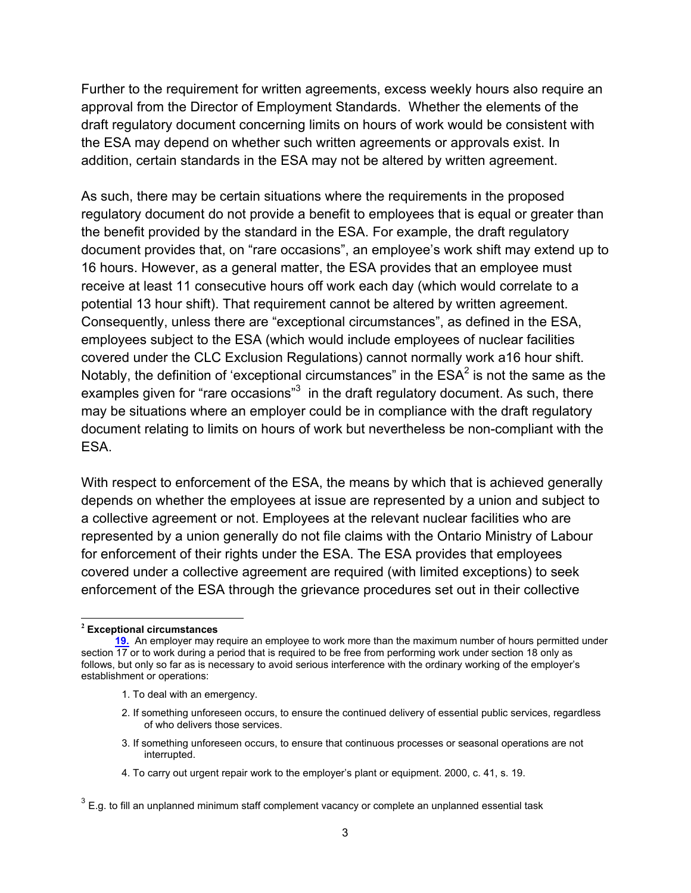Further to the requirement for written agreements, excess weekly hours also require an approval from the Director of Employment Standards. Whether the elements of the draft regulatory document concerning limits on hours of work would be consistent with the ESA may depend on whether such written agreements or approvals exist. In addition, certain standards in the ESA may not be altered by written agreement.

As such, there may be certain situations where the requirements in the proposed regulatory document do not provide a benefit to employees that is equal or greater than the benefit provided by the standard in the ESA. For example, the draft regulatory document provides that, on "rare occasions", an employee's work shift may extend up to 16 hours. However, as a general matter, the ESA provides that an employee must receive at least 11 consecutive hours off work each day (which would correlate to a potential 13 hour shift). That requirement cannot be altered by written agreement. Consequently, unless there are "exceptional circumstances", as defined in the ESA, employees subject to the ESA (which would include employees of nuclear facilities covered under the CLC Exclusion Regulations) cannot normally work a16 hour shift. Notably, the definition of 'exceptional circumstances" in the  $\mathsf{ESA}^2$  is not the same as the examples given for "rare occasions"<sup>3</sup> in the draft regulatory document. As such, there may be situations where an employer could be in compliance with the draft regulatory document relating to limits on hours of work but nevertheless be non-compliant with the ESA.

With respect to enforcement of the ESA, the means by which that is achieved generally depends on whether the employees at issue are represented by a union and subject to a collective agreement or not. Employees at the relevant nuclear facilities who are represented by a union generally do not file claims with the Ontario Ministry of Labour for enforcement of their rights under the ESA. The ESA provides that employees covered under a collective agreement are required (with limited exceptions) to seek enforcement of the ESA through the grievance procedures set out in their collective

-

- 1. To deal with an emergency.
- 2. If something unforeseen occurs, to ensure the continued delivery of essential public services, regardless of who delivers those services.
- 3. If something unforeseen occurs, to ensure that continuous processes or seasonal operations are not interrupted.
- 4. To carry out urgent repair work to the employer's plant or equipment. 2000, c. 41, s. 19.

**<sup>2</sup>Exceptional circumstances** 

**<sup>19.</sup>** An employer may require an employee to work more than the maximum number of hours permitted under section 17 or to work during a period that is required to be free from performing work under section 18 only as follows, but only so far as is necessary to avoid serious interference with the ordinary working of the employer's establishment or operations:

 $3$  E.g. to fill an unplanned minimum staff complement vacancy or complete an unplanned essential task